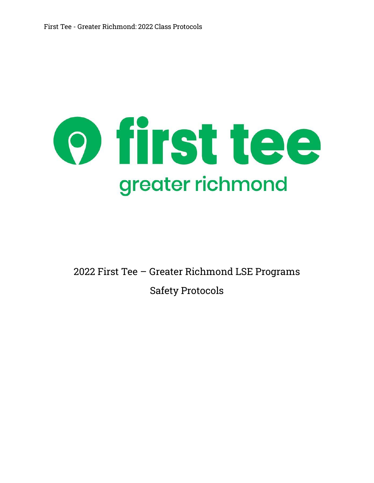# o first tee greater richmond

2022 First Tee – Greater Richmond LSE Programs Safety Protocols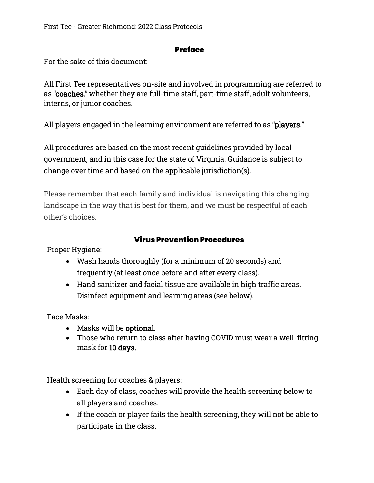#### **Preface**

For the sake of this document:

All First Tee representatives on-site and involved in programming are referred to as "coaches," whether they are full-time staff, part-time staff, adult volunteers, interns, or junior coaches.

All players engaged in the learning environment are referred to as "players."

All procedures are based on the most recent guidelines provided by local government, and in this case for the state of Virginia. Guidance is subject to change over time and based on the applicable jurisdiction(s).

Please remember that each family and individual is navigating this changing landscape in the way that is best for them, and we must be respectful of each other's choices.

## Virus Prevention Procedures

Proper Hygiene:

- Wash hands thoroughly (for a minimum of 20 seconds) and frequently (at least once before and after every class).
- Hand sanitizer and facial tissue are available in high traffic areas. Disinfect equipment and learning areas (see below).

Face Masks:

- Masks will be optional.
- Those who return to class after having COVID must wear a well-fitting mask for 10 days.

Health screening for coaches & players:

- Each day of class, coaches will provide the health screening below to all players and coaches.
- If the coach or player fails the health screening, they will not be able to participate in the class.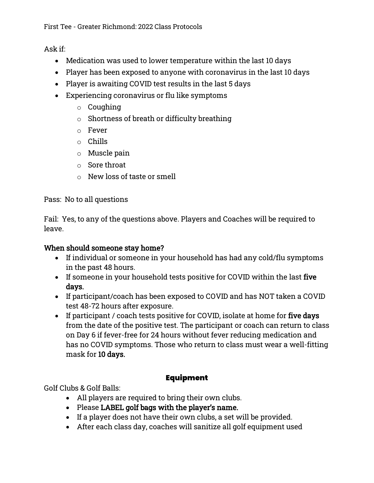Ask if:

- Medication was used to lower temperature within the last 10 days
- Player has been exposed to anyone with coronavirus in the last 10 days
- Player is awaiting COVID test results in the last 5 days
- Experiencing coronavirus or flu like symptoms
	- o Coughing
	- o Shortness of breath or difficulty breathing
	- o Fever
	- o Chills
	- o Muscle pain
	- o Sore throat
	- $\circ$  New loss of taste or smell

Pass: No to all questions

Fail: Yes, to any of the questions above. Players and Coaches will be required to leave.

## When should someone stay home?

- If individual or someone in your household has had any cold/flu symptoms in the past 48 hours.
- If someone in your household tests positive for COVID within the last five days.
- If participant/coach has been exposed to COVID and has NOT taken a COVID test 48-72 hours after exposure.
- If participant / coach tests positive for COVID, isolate at home for five days from the date of the positive test. The participant or coach can return to class on Day 6 if fever-free for 24 hours without fever reducing medication and has no COVID symptoms. Those who return to class must wear a well-fitting mask for 10 days.

# Equipment

Golf Clubs & Golf Balls:

- All players are required to bring their own clubs.
- Please LABEL golf bags with the player's name.
- If a player does not have their own clubs, a set will be provided.
- After each class day, coaches will sanitize all golf equipment used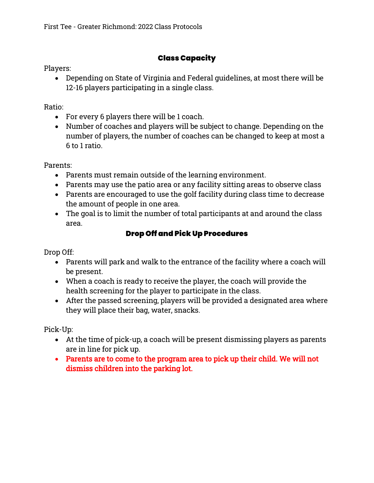# Class Capacity

Players:

• Depending on State of Virginia and Federal guidelines, at most there will be 12-16 players participating in a single class.

Ratio:

- For every 6 players there will be 1 coach.
- Number of coaches and players will be subject to change. Depending on the number of players, the number of coaches can be changed to keep at most a 6 to 1 ratio.

Parents:

- Parents must remain outside of the learning environment.
- Parents may use the patio area or any facility sitting areas to observe class
- Parents are encouraged to use the golf facility during class time to decrease the amount of people in one area.
- The goal is to limit the number of total participants at and around the class area.

# Drop Off and Pick Up Procedures

Drop Off:

- Parents will park and walk to the entrance of the facility where a coach will be present.
- When a coach is ready to receive the player, the coach will provide the health screening for the player to participate in the class.
- After the passed screening, players will be provided a designated area where they will place their bag, water, snacks.

Pick-Up:

- At the time of pick-up, a coach will be present dismissing players as parents are in line for pick up.
- Parents are to come to the program area to pick up their child. We will not dismiss children into the parking lot.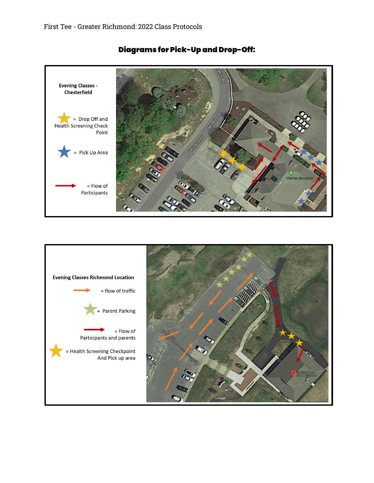

# Diagrams for Pick-Up and Drop-Off:

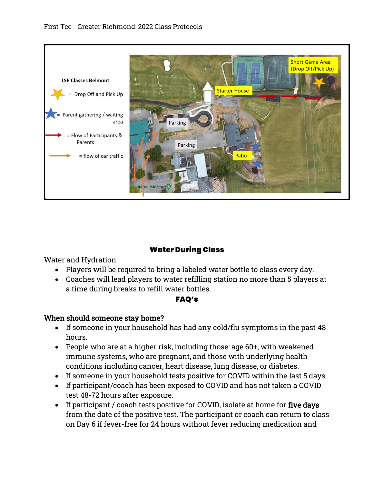

## Water During Class

Water and Hydration:

- Players will be required to bring a labeled water bottle to class every day.
- Coaches will lead players to water refilling station no more than 5 players at a time during breaks to refill water bottles.

#### FAQ's

## When should someone stay home?

- If someone in your household has had any cold/flu symptoms in the past 48 hours.
- People who are at a higher risk, including those: age 60+, with weakened immune systems, who are pregnant, and those with underlying health conditions including cancer, heart disease, lung disease, or diabetes.
- If someone in your household tests positive for COVID within the last 5 days.
- If participant/coach has been exposed to COVID and has not taken a COVID test 48-72 hours after exposure.
- If participant / coach tests positive for COVID, isolate at home for five days from the date of the positive test. The participant or coach can return to class on Day 6 if fever-free for 24 hours without fever reducing medication and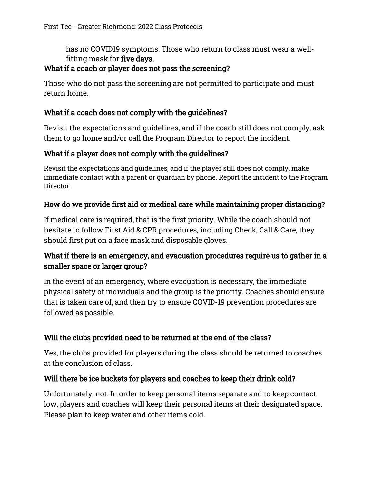has no COVID19 symptoms. Those who return to class must wear a wellfitting mask for five days.

## What if a coach or player does not pass the screening?

Those who do not pass the screening are not permitted to participate and must return home.

## What if a coach does not comply with the guidelines?

Revisit the expectations and guidelines, and if the coach still does not comply, ask them to go home and/or call the Program Director to report the incident.

# What if a player does not comply with the guidelines?

Revisit the expectations and guidelines, and if the player still does not comply, make immediate contact with a parent or guardian by phone. Report the incident to the Program Director.

## How do we provide first aid or medical care while maintaining proper distancing?

If medical care is required, that is the first priority. While the coach should not hesitate to follow First Aid & CPR procedures, including Check, Call & Care, they should first put on a face mask and disposable gloves.

# What if there is an emergency, and evacuation procedures require us to gather in a smaller space or larger group?

In the event of an emergency, where evacuation is necessary, the immediate physical safety of individuals and the group is the priority. Coaches should ensure that is taken care of, and then try to ensure COVID-19 prevention procedures are followed as possible.

# Will the clubs provided need to be returned at the end of the class?

Yes, the clubs provided for players during the class should be returned to coaches at the conclusion of class.

## Will there be ice buckets for players and coaches to keep their drink cold?

Unfortunately, not. In order to keep personal items separate and to keep contact low, players and coaches will keep their personal items at their designated space. Please plan to keep water and other items cold.